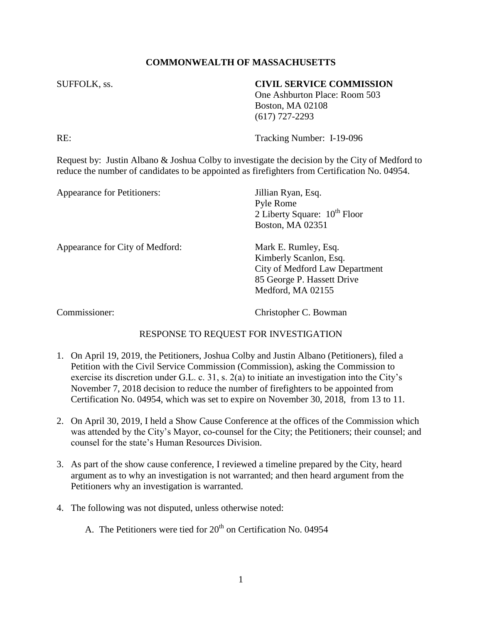## **COMMONWEALTH OF MASSACHUSETTS**

## SUFFOLK, ss. **CIVIL SERVICE COMMISSION**

One Ashburton Place: Room 503 Boston, MA 02108 (617) 727-2293

RE: Tracking Number: I-19-096

Request by: Justin Albano & Joshua Colby to investigate the decision by the City of Medford to reduce the number of candidates to be appointed as firefighters from Certification No. 04954.

| Appearance for Petitioners:     | Jillian Ryan, Esq.                |
|---------------------------------|-----------------------------------|
|                                 | Pyle Rome                         |
|                                 | 2 Liberty Square: $10^{th}$ Floor |
|                                 | Boston, MA 02351                  |
| Appearance for City of Medford: | Mark E. Rumley, Esq.              |
|                                 | Kimberly Scanlon, Esq.            |
|                                 | City of Medford Law Department    |
|                                 | 85 George P. Hassett Drive        |
|                                 | Medford, MA 02155                 |
|                                 |                                   |
|                                 |                                   |

Commissioner: Christopher C. Bowman

## RESPONSE TO REQUEST FOR INVESTIGATION

- 1. On April 19, 2019, the Petitioners, Joshua Colby and Justin Albano (Petitioners), filed a Petition with the Civil Service Commission (Commission), asking the Commission to exercise its discretion under G.L. c. 31, s. 2(a) to initiate an investigation into the City's November 7, 2018 decision to reduce the number of firefighters to be appointed from Certification No. 04954, which was set to expire on November 30, 2018, from 13 to 11.
- 2. On April 30, 2019, I held a Show Cause Conference at the offices of the Commission which was attended by the City's Mayor, co-counsel for the City; the Petitioners; their counsel; and counsel for the state's Human Resources Division.
- 3. As part of the show cause conference, I reviewed a timeline prepared by the City, heard argument as to why an investigation is not warranted; and then heard argument from the Petitioners why an investigation is warranted.
- 4. The following was not disputed, unless otherwise noted:
	- A. The Petitioners were tied for  $20<sup>th</sup>$  on Certification No. 04954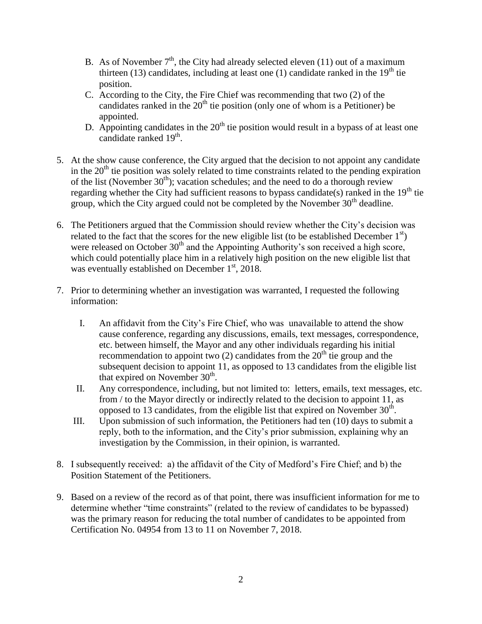- B. As of November  $7<sup>th</sup>$ , the City had already selected eleven (11) out of a maximum thirteen (13) candidates, including at least one (1) candidate ranked in the  $19<sup>th</sup>$  tie position.
- C. According to the City, the Fire Chief was recommending that two (2) of the candidates ranked in the  $20<sup>th</sup>$  tie position (only one of whom is a Petitioner) be appointed.
- D. Appointing candidates in the  $20<sup>th</sup>$  tie position would result in a bypass of at least one candidate ranked  $19<sup>th</sup>$ .
- 5. At the show cause conference, the City argued that the decision to not appoint any candidate in the  $20<sup>th</sup>$  tie position was solely related to time constraints related to the pending expiration of the list (November  $30<sup>th</sup>$ ); vacation schedules; and the need to do a thorough review regarding whether the City had sufficient reasons to bypass candidate(s) ranked in the  $19<sup>th</sup>$  tie group, which the City argued could not be completed by the November  $30<sup>th</sup>$  deadline.
- 6. The Petitioners argued that the Commission should review whether the City's decision was related to the fact that the scores for the new eligible list (to be established December  $1<sup>st</sup>$ ) were released on October  $30<sup>th</sup>$  and the Appointing Authority's son received a high score, which could potentially place him in a relatively high position on the new eligible list that was eventually established on December  $1<sup>st</sup>$ , 2018.
- 7. Prior to determining whether an investigation was warranted, I requested the following information:
	- I. An affidavit from the City's Fire Chief, who was unavailable to attend the show cause conference, regarding any discussions, emails, text messages, correspondence, etc. between himself, the Mayor and any other individuals regarding his initial recommendation to appoint two (2) candidates from the  $20<sup>th</sup>$  tie group and the subsequent decision to appoint 11, as opposed to 13 candidates from the eligible list that expired on November  $30<sup>th</sup>$ .
	- II. Any correspondence, including, but not limited to: letters, emails, text messages, etc. from / to the Mayor directly or indirectly related to the decision to appoint 11, as opposed to 13 candidates, from the eligible list that expired on November  $30<sup>th</sup>$ .
	- III. Upon submission of such information, the Petitioners had ten (10) days to submit a reply, both to the information, and the City's prior submission, explaining why an investigation by the Commission, in their opinion, is warranted.
- 8. I subsequently received: a) the affidavit of the City of Medford's Fire Chief; and b) the Position Statement of the Petitioners.
- 9. Based on a review of the record as of that point, there was insufficient information for me to determine whether "time constraints" (related to the review of candidates to be bypassed) was the primary reason for reducing the total number of candidates to be appointed from Certification No. 04954 from 13 to 11 on November 7, 2018.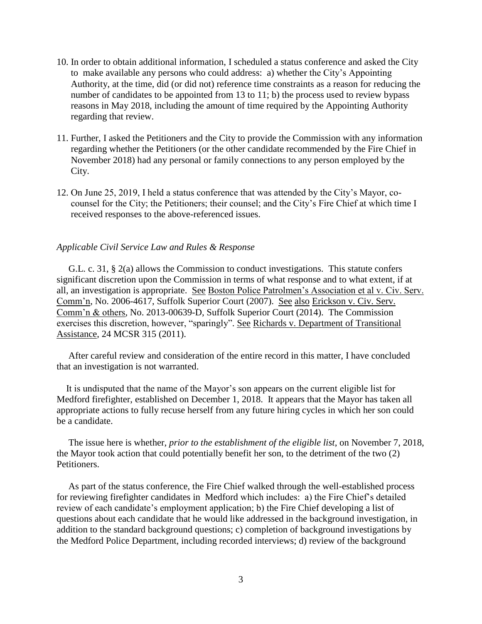- 10. In order to obtain additional information, I scheduled a status conference and asked the City to make available any persons who could address: a) whether the City's Appointing Authority, at the time, did (or did not) reference time constraints as a reason for reducing the number of candidates to be appointed from 13 to 11; b) the process used to review bypass reasons in May 2018, including the amount of time required by the Appointing Authority regarding that review.
- 11. Further, I asked the Petitioners and the City to provide the Commission with any information regarding whether the Petitioners (or the other candidate recommended by the Fire Chief in November 2018) had any personal or family connections to any person employed by the City.
- 12. On June 25, 2019, I held a status conference that was attended by the City's Mayor, cocounsel for the City; the Petitioners; their counsel; and the City's Fire Chief at which time I received responses to the above-referenced issues.

## *Applicable Civil Service Law and Rules & Response*

 G.L. c. 31, § 2(a) allows the Commission to conduct investigations. This statute confers significant discretion upon the Commission in terms of what response and to what extent, if at all, an investigation is appropriate. See Boston Police Patrolmen's Association et al v. Civ. Serv. Comm'n, No. 2006-4617, Suffolk Superior Court (2007). See also Erickson v. Civ. Serv. Comm'n & others, No. 2013-00639-D, Suffolk Superior Court (2014). The Commission exercises this discretion, however, "sparingly". See Richards v. Department of Transitional Assistance, 24 MCSR 315 (2011).

 After careful review and consideration of the entire record in this matter, I have concluded that an investigation is not warranted.

 It is undisputed that the name of the Mayor's son appears on the current eligible list for Medford firefighter, established on December 1, 2018. It appears that the Mayor has taken all appropriate actions to fully recuse herself from any future hiring cycles in which her son could be a candidate.

 The issue here is whether, *prior to the establishment of the eligible list*, on November 7, 2018, the Mayor took action that could potentially benefit her son, to the detriment of the two (2) Petitioners.

 As part of the status conference, the Fire Chief walked through the well-established process for reviewing firefighter candidates in Medford which includes: a) the Fire Chief's detailed review of each candidate's employment application; b) the Fire Chief developing a list of questions about each candidate that he would like addressed in the background investigation, in addition to the standard background questions; c) completion of background investigations by the Medford Police Department, including recorded interviews; d) review of the background